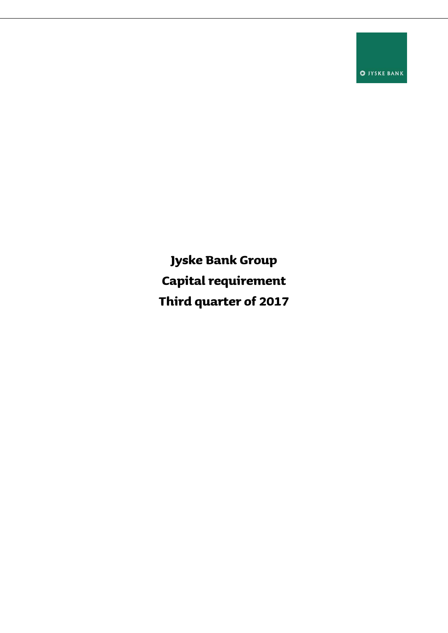**O** JYSKE BANK

**Jyske Bank Group Capital requirement Third quarter of 2017**